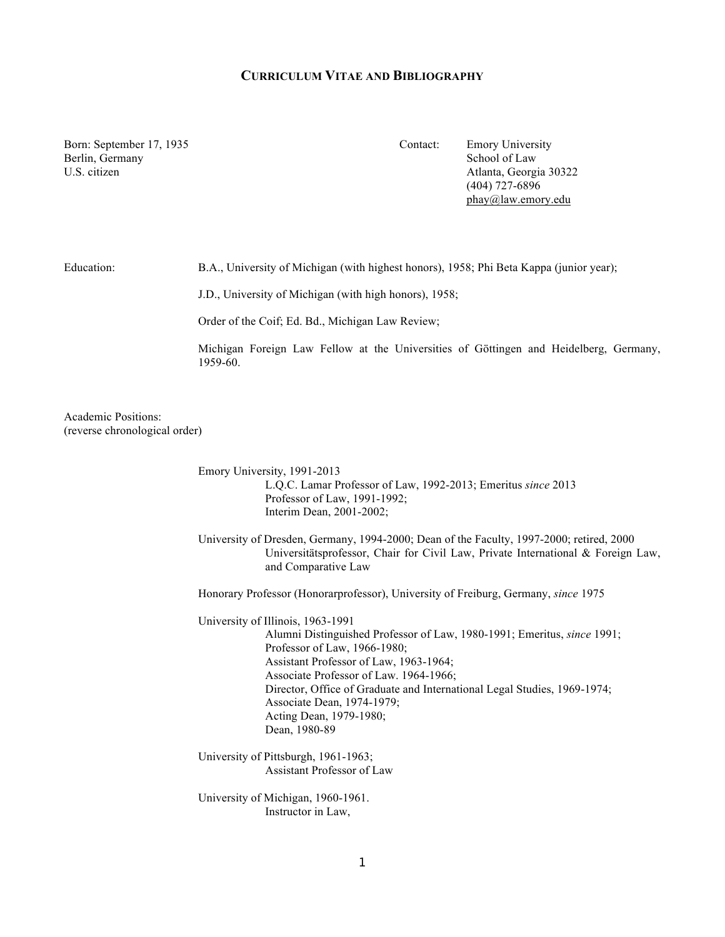## **CURRICULUM VITAE AND BIBLIOGRAPHY**

Berlin, Germany School of Law

Born: September 17, 1935 Contact: Emory University U.S. citizen Atlanta, Georgia 30322 (404) 727-6896 phay@law.emory.edu

Education: B.A., University of Michigan (with highest honors), 1958; Phi Beta Kappa (junior year);

J.D., University of Michigan (with high honors), 1958;

Order of the Coif; Ed. Bd., Michigan Law Review;

Michigan Foreign Law Fellow at the Universities of Göttingen and Heidelberg, Germany, 1959-60.

Academic Positions: (reverse chronological order)

> Emory University, 1991-2013 L.Q.C. Lamar Professor of Law, 1992-2013; Emeritus *since* 2013 Professor of Law, 1991-1992; Interim Dean, 2001-2002;

University of Dresden, Germany, 1994-2000; Dean of the Faculty, 1997-2000; retired, 2000 Universitätsprofessor, Chair for Civil Law, Private International & Foreign Law, and Comparative Law

Honorary Professor (Honorarprofessor), University of Freiburg, Germany, *since* 1975

University of Illinois, 1963-1991 Alumni Distinguished Professor of Law, 1980-1991; Emeritus, *since* 1991; Professor of Law, 1966-1980; Assistant Professor of Law, 1963-1964; Associate Professor of Law. 1964-1966; Director, Office of Graduate and International Legal Studies, 1969-1974; Associate Dean, 1974-1979; Acting Dean, 1979-1980; Dean, 1980-89

University of Pittsburgh, 1961-1963; Assistant Professor of Law

University of Michigan, 1960-1961. Instructor in Law,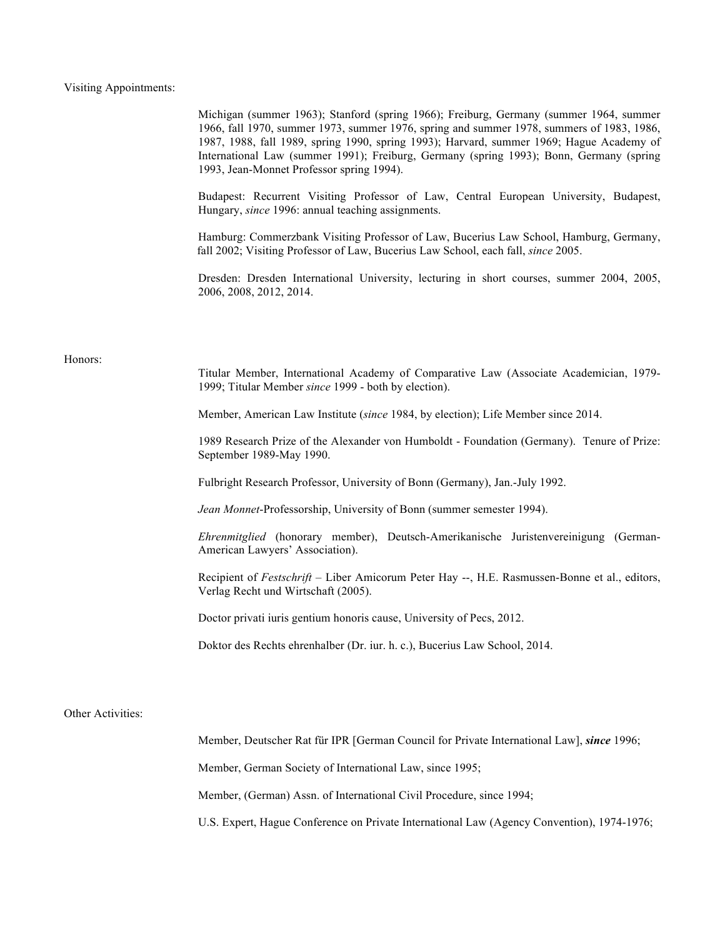# Visiting Appointments:

|                   | Michigan (summer 1963); Stanford (spring 1966); Freiburg, Germany (summer 1964, summer<br>1966, fall 1970, summer 1973, summer 1976, spring and summer 1978, summers of 1983, 1986,<br>1987, 1988, fall 1989, spring 1990, spring 1993); Harvard, summer 1969; Hague Academy of<br>International Law (summer 1991); Freiburg, Germany (spring 1993); Bonn, Germany (spring<br>1993, Jean-Monnet Professor spring 1994). |
|-------------------|-------------------------------------------------------------------------------------------------------------------------------------------------------------------------------------------------------------------------------------------------------------------------------------------------------------------------------------------------------------------------------------------------------------------------|
|                   | Budapest: Recurrent Visiting Professor of Law, Central European University, Budapest,<br>Hungary, since 1996: annual teaching assignments.                                                                                                                                                                                                                                                                              |
|                   | Hamburg: Commerzbank Visiting Professor of Law, Bucerius Law School, Hamburg, Germany,<br>fall 2002; Visiting Professor of Law, Bucerius Law School, each fall, since 2005.                                                                                                                                                                                                                                             |
|                   | Dresden: Dresden International University, lecturing in short courses, summer 2004, 2005,<br>2006, 2008, 2012, 2014.                                                                                                                                                                                                                                                                                                    |
|                   |                                                                                                                                                                                                                                                                                                                                                                                                                         |
| Honors:           | Titular Member, International Academy of Comparative Law (Associate Academician, 1979-<br>1999; Titular Member since 1999 - both by election).                                                                                                                                                                                                                                                                          |
|                   | Member, American Law Institute (since 1984, by election); Life Member since 2014.                                                                                                                                                                                                                                                                                                                                       |
|                   | 1989 Research Prize of the Alexander von Humboldt - Foundation (Germany). Tenure of Prize:<br>September 1989-May 1990.                                                                                                                                                                                                                                                                                                  |
|                   | Fulbright Research Professor, University of Bonn (Germany), Jan.-July 1992.                                                                                                                                                                                                                                                                                                                                             |
|                   | Jean Monnet-Professorship, University of Bonn (summer semester 1994).                                                                                                                                                                                                                                                                                                                                                   |
|                   | Ehrenmitglied (honorary member), Deutsch-Amerikanische Juristenvereinigung (German-<br>American Lawyers' Association).                                                                                                                                                                                                                                                                                                  |
|                   | Recipient of Festschrift - Liber Amicorum Peter Hay --, H.E. Rasmussen-Bonne et al., editors,<br>Verlag Recht und Wirtschaft (2005).                                                                                                                                                                                                                                                                                    |
|                   | Doctor privati iuris gentium honoris cause, University of Pecs, 2012.                                                                                                                                                                                                                                                                                                                                                   |
|                   | Doktor des Rechts ehrenhalber (Dr. iur. h. c.), Bucerius Law School, 2014.                                                                                                                                                                                                                                                                                                                                              |
| Other Activities: |                                                                                                                                                                                                                                                                                                                                                                                                                         |
|                   | Member, Deutscher Rat für IPR [German Council for Private International Law], since 1996;                                                                                                                                                                                                                                                                                                                               |
|                   | Member, German Society of International Law, since 1995;                                                                                                                                                                                                                                                                                                                                                                |
|                   | Member, (German) Assn. of International Civil Procedure, since 1994;                                                                                                                                                                                                                                                                                                                                                    |
|                   | U.S. Expert, Hague Conference on Private International Law (Agency Convention), 1974-1976;                                                                                                                                                                                                                                                                                                                              |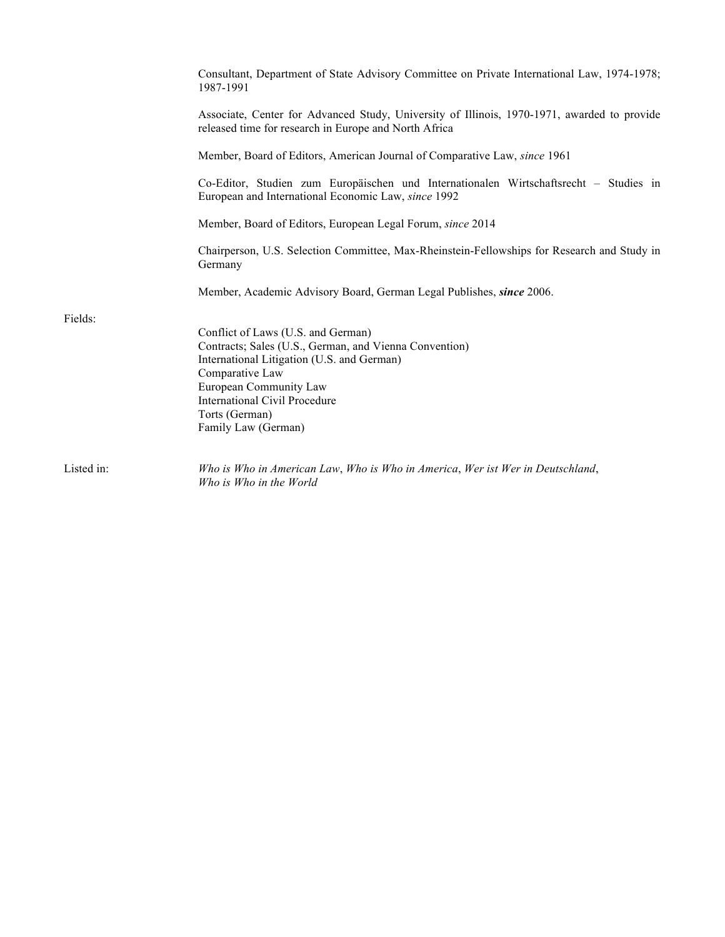|            | Consultant, Department of State Advisory Committee on Private International Law, 1974-1978;<br>1987-1991                                             |
|------------|------------------------------------------------------------------------------------------------------------------------------------------------------|
|            | Associate, Center for Advanced Study, University of Illinois, 1970-1971, awarded to provide<br>released time for research in Europe and North Africa |
|            | Member, Board of Editors, American Journal of Comparative Law, since 1961                                                                            |
|            | Co-Editor, Studien zum Europäischen und Internationalen Wirtschaftsrecht – Studies in<br>European and International Economic Law, since 1992         |
|            | Member, Board of Editors, European Legal Forum, since 2014                                                                                           |
|            | Chairperson, U.S. Selection Committee, Max-Rheinstein-Fellowships for Research and Study in<br>Germany                                               |
|            | Member, Academic Advisory Board, German Legal Publishes, since 2006.                                                                                 |
| Fields:    |                                                                                                                                                      |
|            | Conflict of Laws (U.S. and German)                                                                                                                   |
|            | Contracts; Sales (U.S., German, and Vienna Convention)                                                                                               |
|            | International Litigation (U.S. and German)<br>Comparative Law                                                                                        |
|            | European Community Law                                                                                                                               |
|            | <b>International Civil Procedure</b>                                                                                                                 |
|            | Torts (German)                                                                                                                                       |
|            | Family Law (German)                                                                                                                                  |
| Listed in: | Who is Who in American Law, Who is Who in America, Wer ist Wer in Deutschland,<br>Who is Who in the World                                            |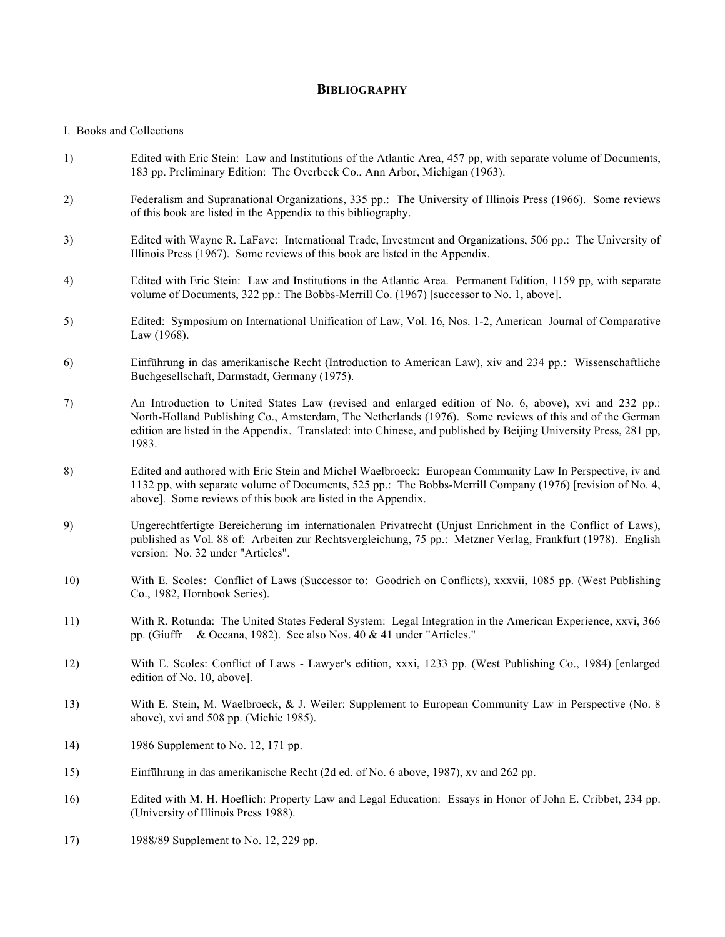# **BIBLIOGRAPHY**

### I. Books and Collections

- 1) Edited with Eric Stein: Law and Institutions of the Atlantic Area, 457 pp, with separate volume of Documents, 183 pp. Preliminary Edition: The Overbeck Co., Ann Arbor, Michigan (1963).
- 2) Federalism and Supranational Organizations, 335 pp.: The University of Illinois Press (1966). Some reviews of this book are listed in the Appendix to this bibliography.
- 3) Edited with Wayne R. LaFave: International Trade, Investment and Organizations, 506 pp.: The University of Illinois Press (1967). Some reviews of this book are listed in the Appendix.
- 4) Edited with Eric Stein: Law and Institutions in the Atlantic Area. Permanent Edition, 1159 pp, with separate volume of Documents, 322 pp.: The Bobbs-Merrill Co. (1967) [successor to No. 1, above].
- 5) Edited: Symposium on International Unification of Law, Vol. 16, Nos. 1-2, American Journal of Comparative Law (1968).
- 6) Einführung in das amerikanische Recht (Introduction to American Law), xiv and 234 pp.: Wissenschaftliche Buchgesellschaft, Darmstadt, Germany (1975).
- 7) An Introduction to United States Law (revised and enlarged edition of No. 6, above), xvi and 232 pp.: North-Holland Publishing Co., Amsterdam, The Netherlands (1976). Some reviews of this and of the German edition are listed in the Appendix. Translated: into Chinese, and published by Beijing University Press, 281 pp, 1983.
- 8) Edited and authored with Eric Stein and Michel Waelbroeck: European Community Law In Perspective, iv and 1132 pp, with separate volume of Documents, 525 pp.: The Bobbs-Merrill Company (1976) [revision of No. 4, above]. Some reviews of this book are listed in the Appendix.
- 9) Ungerechtfertigte Bereicherung im internationalen Privatrecht (Unjust Enrichment in the Conflict of Laws), published as Vol. 88 of: Arbeiten zur Rechtsvergleichung, 75 pp.: Metzner Verlag, Frankfurt (1978). English version: No. 32 under "Articles".
- 10) With E. Scoles: Conflict of Laws (Successor to: Goodrich on Conflicts), xxxvii, 1085 pp. (West Publishing Co., 1982, Hornbook Series).
- 11) With R. Rotunda: The United States Federal System: Legal Integration in the American Experience, xxvi, 366 pp. (Giuffr & Oceana, 1982). See also Nos. 40 & 41 under "Articles."
- 12) With E. Scoles: Conflict of Laws Lawyer's edition, xxxi, 1233 pp. (West Publishing Co., 1984) [enlarged edition of No. 10, above].
- 13) With E. Stein, M. Waelbroeck, & J. Weiler: Supplement to European Community Law in Perspective (No. 8 above), xvi and 508 pp. (Michie 1985).
- 14) 1986 Supplement to No. 12, 171 pp.
- 15) Einführung in das amerikanische Recht (2d ed. of No. 6 above, 1987), xv and 262 pp.
- 16) Edited with M. H. Hoeflich: Property Law and Legal Education: Essays in Honor of John E. Cribbet, 234 pp. (University of Illinois Press 1988).
- 17) 1988/89 Supplement to No. 12, 229 pp.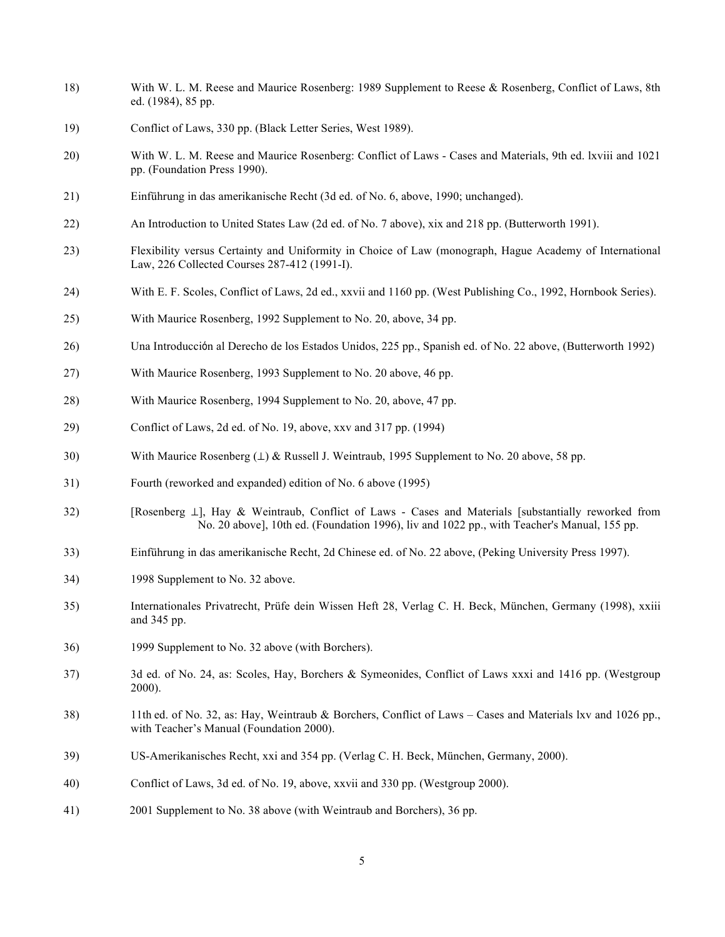- 18) With W. L. M. Reese and Maurice Rosenberg: 1989 Supplement to Reese & Rosenberg, Conflict of Laws, 8th ed. (1984), 85 pp.
- 19) Conflict of Laws, 330 pp. (Black Letter Series, West 1989).
- 20) With W. L. M. Reese and Maurice Rosenberg: Conflict of Laws Cases and Materials, 9th ed. lxviii and 1021 pp. (Foundation Press 1990).
- 21) Einführung in das amerikanische Recht (3d ed. of No. 6, above, 1990; unchanged).
- 22) An Introduction to United States Law (2d ed. of No. 7 above), xix and 218 pp. (Butterworth 1991).
- 23) Flexibility versus Certainty and Uniformity in Choice of Law (monograph, Hague Academy of International Law, 226 Collected Courses 287-412 (1991-I).
- 24) With E. F. Scoles, Conflict of Laws, 2d ed., xxvii and 1160 pp. (West Publishing Co., 1992, Hornbook Series).
- 25) With Maurice Rosenberg, 1992 Supplement to No. 20, above, 34 pp.
- 26) Una Introducción al Derecho de los Estados Unidos, 225 pp., Spanish ed. of No. 22 above, (Butterworth 1992)
- 27) With Maurice Rosenberg, 1993 Supplement to No. 20 above, 46 pp.
- 28) With Maurice Rosenberg, 1994 Supplement to No. 20, above, 47 pp.
- 29) Conflict of Laws, 2d ed. of No. 19, above, xxv and 317 pp. (1994)
- 30) With Maurice Rosenberg (⊥) & Russell J. Weintraub, 1995 Supplement to No. 20 above, 58 pp.
- 31) Fourth (reworked and expanded) edition of No. 6 above (1995)
- 32) [Rosenberg ⊥], Hay & Weintraub, Conflict of Laws Cases and Materials [substantially reworked from No. 20 above], 10th ed. (Foundation 1996), liv and 1022 pp., with Teacher's Manual, 155 pp.
- 33) Einführung in das amerikanische Recht, 2d Chinese ed. of No. 22 above, (Peking University Press 1997).
- 34) 1998 Supplement to No. 32 above.
- 35) Internationales Privatrecht, Prüfe dein Wissen Heft 28, Verlag C. H. Beck, München, Germany (1998), xxiii and 345 pp.
- 36) 1999 Supplement to No. 32 above (with Borchers).
- 37) 3d ed. of No. 24, as: Scoles, Hay, Borchers & Symeonides, Conflict of Laws xxxi and 1416 pp. (Westgroup 2000).
- 38) 11th ed. of No. 32, as: Hay, Weintraub & Borchers, Conflict of Laws Cases and Materials lxv and 1026 pp., with Teacher's Manual (Foundation 2000).
- 39) US-Amerikanisches Recht, xxi and 354 pp. (Verlag C. H. Beck, München, Germany, 2000).
- 40) Conflict of Laws, 3d ed. of No. 19, above, xxvii and 330 pp. (Westgroup 2000).
- 41) 2001 Supplement to No. 38 above (with Weintraub and Borchers), 36 pp.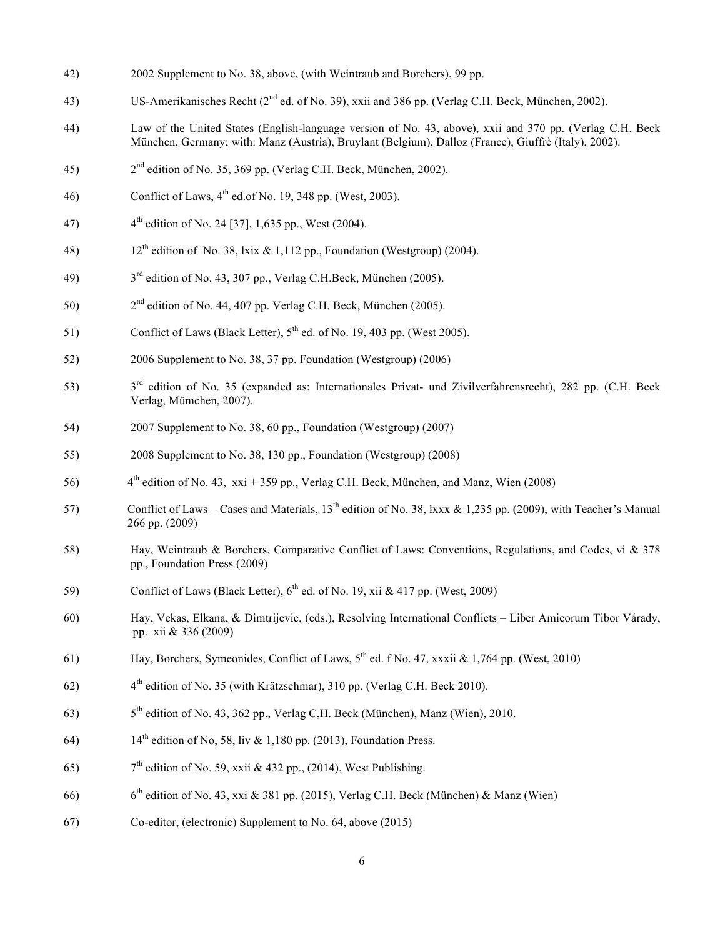- 42) 2002 Supplement to No. 38, above, (with Weintraub and Borchers), 99 pp.
- 43) US-Amerikanisches Recht (2<sup>nd</sup> ed. of No. 39), xxii and 386 pp. (Verlag C.H. Beck, München, 2002).
- 44) Law of the United States (English-language version of No. 43, above), xxii and 370 pp. (Verlag C.H. Beck München, Germany; with: Manz (Austria), Bruylant (Belgium), Dalloz (France), Giuffrè (Italy), 2002).
- 45)  $2<sup>nd</sup>$  edition of No. 35, 369 pp. (Verlag C.H. Beck, München, 2002).
- 46) Conflict of Laws,  $4<sup>th</sup>$  ed.of No. 19, 348 pp. (West, 2003).
- 47)  $4^{\text{th}}$  edition of No. 24 [37], 1,635 pp., West (2004).
- 48) 12<sup>th</sup> edition of No. 38, lxix & 1,112 pp., Foundation (Westgroup) (2004).
- 49)  $3<sup>rd</sup>$  edition of No. 43, 307 pp., Verlag C.H.Beck, München (2005).
- 50) 2nd edition of No. 44, 407 pp. Verlag C.H. Beck, München (2005).
- 51) Conflict of Laws (Black Letter), 5<sup>th</sup> ed. of No. 19, 403 pp. (West 2005).
- 52) 2006 Supplement to No. 38, 37 pp. Foundation (Westgroup) (2006)
- 53) 3rd edition of No. 35 (expanded as: Internationales Privat- und Zivilverfahrensrecht), 282 pp. (C.H. Beck Verlag, Mümchen, 2007).
- 54) 2007 Supplement to No. 38, 60 pp., Foundation (Westgroup) (2007)
- 55) 2008 Supplement to No. 38, 130 pp., Foundation (Westgroup) (2008)
- 56)  $4<sup>th</sup>$  edition of No. 43, xxi + 359 pp., Verlag C.H. Beck, München, and Manz, Wien (2008)
- 57) Conflict of Laws Cases and Materials,  $13^{th}$  edition of No. 38, lxxx & 1,235 pp. (2009), with Teacher's Manual 266 pp. (2009)
- 58) Hay, Weintraub & Borchers, Comparative Conflict of Laws: Conventions, Regulations, and Codes, vi & 378 pp., Foundation Press (2009)
- 59) Conflict of Laws (Black Letter),  $6<sup>th</sup>$  ed. of No. 19, xii & 417 pp. (West, 2009)
- 60) Hay, Vekas, Elkana, & Dimtrijevic, (eds.), Resolving International Conflicts Liber Amicorum Tibor Várady, pp. xii & 336 (2009)
- 61) Hay, Borchers, Symeonides, Conflict of Laws, 5th ed. f No. 47, xxxii & 1,764 pp. (West, 2010)
- 62)  $4<sup>th</sup>$  edition of No. 35 (with Krätzschmar), 310 pp. (Verlag C.H. Beck 2010).
- 63)  $5<sup>th</sup>$  edition of No. 43, 362 pp., Verlag C, H. Beck (München), Manz (Wien), 2010.
- 64)  $14^{th}$  edition of No, 58, liv & 1,180 pp. (2013), Foundation Press.
- 65)  $7<sup>th</sup>$  edition of No. 59, xxii & 432 pp., (2014), West Publishing.
- 66) 6bh edition of No. 43, xxi & 381 pp. (2015), Verlag C.H. Beck (München) & Manz (Wien)
- 67) Co-editor, (electronic) Supplement to No. 64, above (2015)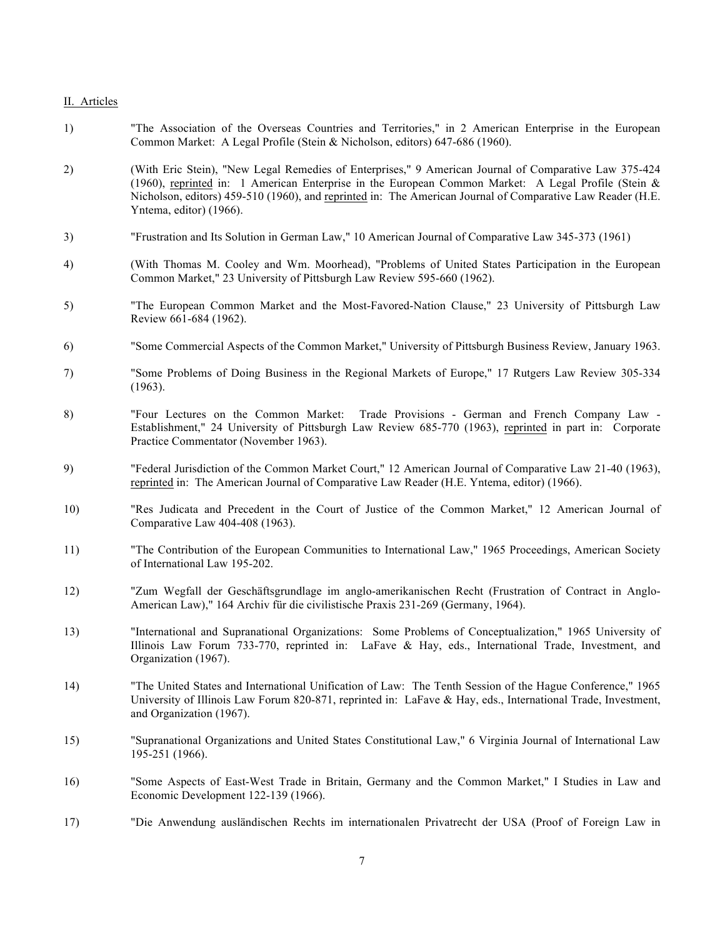### II. Articles

- 1) "The Association of the Overseas Countries and Territories," in 2 American Enterprise in the European Common Market: A Legal Profile (Stein & Nicholson, editors) 647-686 (1960).
- 2) (With Eric Stein), "New Legal Remedies of Enterprises," 9 American Journal of Comparative Law 375-424 (1960), reprinted in: 1 American Enterprise in the European Common Market: A Legal Profile (Stein & Nicholson, editors) 459-510 (1960), and reprinted in: The American Journal of Comparative Law Reader (H.E. Yntema, editor) (1966).
- 3) "Frustration and Its Solution in German Law," 10 American Journal of Comparative Law 345-373 (1961)
- 4) (With Thomas M. Cooley and Wm. Moorhead), "Problems of United States Participation in the European Common Market," 23 University of Pittsburgh Law Review 595-660 (1962).
- 5) "The European Common Market and the Most-Favored-Nation Clause," 23 University of Pittsburgh Law Review 661-684 (1962).
- 6) "Some Commercial Aspects of the Common Market," University of Pittsburgh Business Review, January 1963.
- 7) "Some Problems of Doing Business in the Regional Markets of Europe," 17 Rutgers Law Review 305-334 (1963).
- 8) "Four Lectures on the Common Market: Trade Provisions German and French Company Law Establishment," 24 University of Pittsburgh Law Review 685-770 (1963), reprinted in part in: Corporate Practice Commentator (November 1963).
- 9) "Federal Jurisdiction of the Common Market Court," 12 American Journal of Comparative Law 21-40 (1963), reprinted in: The American Journal of Comparative Law Reader (H.E. Yntema, editor) (1966).
- 10) "Res Judicata and Precedent in the Court of Justice of the Common Market," 12 American Journal of Comparative Law 404-408 (1963).
- 11) "The Contribution of the European Communities to International Law," 1965 Proceedings, American Society of International Law 195-202.
- 12) "Zum Wegfall der Geschäftsgrundlage im anglo-amerikanischen Recht (Frustration of Contract in Anglo-American Law)," 164 Archiv für die civilistische Praxis 231-269 (Germany, 1964).
- 13) "International and Supranational Organizations: Some Problems of Conceptualization," 1965 University of Illinois Law Forum 733-770, reprinted in: LaFave & Hay, eds., International Trade, Investment, and Organization (1967).
- 14) "The United States and International Unification of Law: The Tenth Session of the Hague Conference," 1965 University of Illinois Law Forum 820-871, reprinted in: LaFave & Hay, eds., International Trade, Investment, and Organization (1967).
- 15) "Supranational Organizations and United States Constitutional Law," 6 Virginia Journal of International Law 195-251 (1966).
- 16) "Some Aspects of East-West Trade in Britain, Germany and the Common Market," I Studies in Law and Economic Development 122-139 (1966).
- 17) "Die Anwendung ausländischen Rechts im internationalen Privatrecht der USA (Proof of Foreign Law in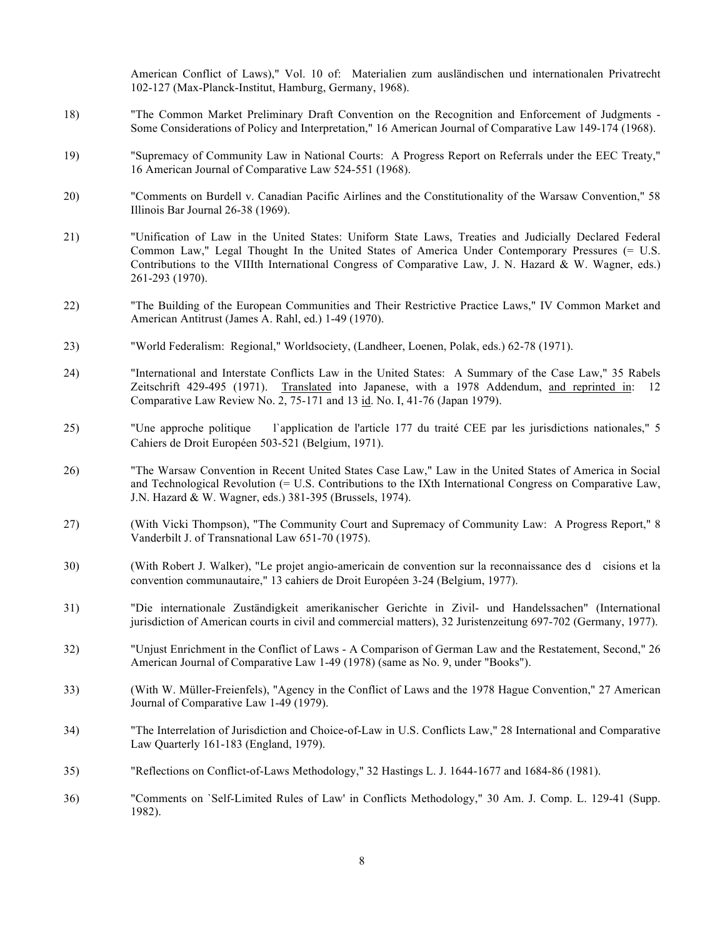American Conflict of Laws)," Vol. 10 of: Materialien zum ausländischen und internationalen Privatrecht 102-127 (Max-Planck-Institut, Hamburg, Germany, 1968).

- 18) "The Common Market Preliminary Draft Convention on the Recognition and Enforcement of Judgments Some Considerations of Policy and Interpretation," 16 American Journal of Comparative Law 149-174 (1968).
- 19) "Supremacy of Community Law in National Courts: A Progress Report on Referrals under the EEC Treaty," 16 American Journal of Comparative Law 524-551 (1968).
- 20) "Comments on Burdell v. Canadian Pacific Airlines and the Constitutionality of the Warsaw Convention," 58 Illinois Bar Journal 26-38 (1969).
- 21) "Unification of Law in the United States: Uniform State Laws, Treaties and Judicially Declared Federal Common Law," Legal Thought In the United States of America Under Contemporary Pressures (= U.S. Contributions to the VIIIth International Congress of Comparative Law, J. N. Hazard & W. Wagner, eds.) 261-293 (1970).
- 22) "The Building of the European Communities and Their Restrictive Practice Laws," IV Common Market and American Antitrust (James A. Rahl, ed.) 1-49 (1970).
- 23) "World Federalism: Regional," Worldsociety, (Landheer, Loenen, Polak, eds.) 62-78 (1971).
- 24) "International and Interstate Conflicts Law in the United States: A Summary of the Case Law," 35 Rabels Zeitschrift 429-495 (1971). Translated into Japanese, with a 1978 Addendum, and reprinted in: 12 Comparative Law Review No. 2, 75-171 and 13 id. No. I, 41-76 (Japan 1979).
- 25) "Une approche politique l`application de l'article 177 du traité CEE par les jurisdictions nationales," 5 Cahiers de Droit Européen 503-521 (Belgium, 1971).
- 26) "The Warsaw Convention in Recent United States Case Law," Law in the United States of America in Social and Technological Revolution (= U.S. Contributions to the IXth International Congress on Comparative Law, J.N. Hazard & W. Wagner, eds.) 381-395 (Brussels, 1974).
- 27) (With Vicki Thompson), "The Community Court and Supremacy of Community Law: A Progress Report," 8 Vanderbilt J. of Transnational Law 651-70 (1975).
- 30) (With Robert J. Walker), "Le projet angio-americain de convention sur la reconnaissance des dcisions et la convention communautaire," 13 cahiers de Droit Européen 3-24 (Belgium, 1977).
- 31) "Die internationale Zuständigkeit amerikanischer Gerichte in Zivil- und Handelssachen" (International jurisdiction of American courts in civil and commercial matters), 32 Juristenzeitung 697-702 (Germany, 1977).
- 32) "Unjust Enrichment in the Conflict of Laws A Comparison of German Law and the Restatement, Second," 26 American Journal of Comparative Law 1-49 (1978) (same as No. 9, under "Books").
- 33) (With W. Müller-Freienfels), "Agency in the Conflict of Laws and the 1978 Hague Convention," 27 American Journal of Comparative Law 1-49 (1979).
- 34) "The Interrelation of Jurisdiction and Choice-of-Law in U.S. Conflicts Law," 28 International and Comparative Law Quarterly 161-183 (England, 1979).
- 35) "Reflections on Conflict-of-Laws Methodology," 32 Hastings L. J. 1644-1677 and 1684-86 (1981).
- 36) "Comments on `Self-Limited Rules of Law' in Conflicts Methodology," 30 Am. J. Comp. L. 129-41 (Supp. 1982).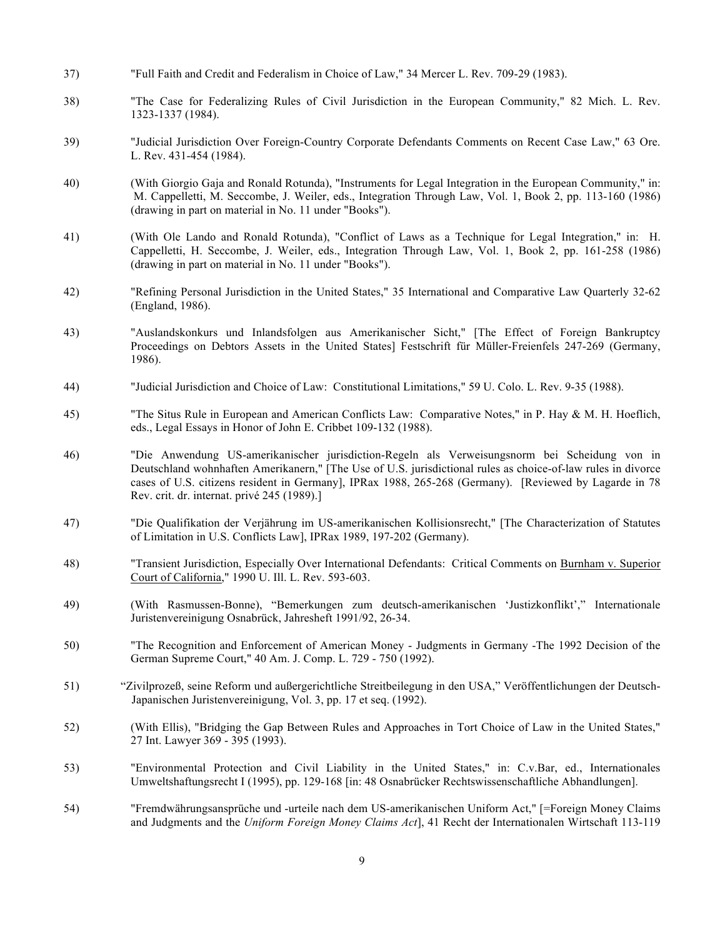- 37) "Full Faith and Credit and Federalism in Choice of Law," 34 Mercer L. Rev. 709-29 (1983).
- 38) "The Case for Federalizing Rules of Civil Jurisdiction in the European Community," 82 Mich. L. Rev. 1323-1337 (1984).
- 39) "Judicial Jurisdiction Over Foreign-Country Corporate Defendants Comments on Recent Case Law," 63 Ore. L. Rev. 431-454 (1984).
- 40) (With Giorgio Gaja and Ronald Rotunda), "Instruments for Legal Integration in the European Community," in: M. Cappelletti, M. Seccombe, J. Weiler, eds., Integration Through Law, Vol. 1, Book 2, pp. 113-160 (1986) (drawing in part on material in No. 11 under "Books").
- 41) (With Ole Lando and Ronald Rotunda), "Conflict of Laws as a Technique for Legal Integration," in: H. Cappelletti, H. Seccombe, J. Weiler, eds., Integration Through Law, Vol. 1, Book 2, pp. 161-258 (1986) (drawing in part on material in No. 11 under "Books").
- 42) "Refining Personal Jurisdiction in the United States," 35 International and Comparative Law Quarterly 32-62 (England, 1986).
- 43) "Auslandskonkurs und Inlandsfolgen aus Amerikanischer Sicht," [The Effect of Foreign Bankruptcy Proceedings on Debtors Assets in the United States] Festschrift für Müller-Freienfels 247-269 (Germany, 1986).
- 44) "Judicial Jurisdiction and Choice of Law: Constitutional Limitations," 59 U. Colo. L. Rev. 9-35 (1988).
- 45) "The Situs Rule in European and American Conflicts Law: Comparative Notes," in P. Hay & M. H. Hoeflich, eds., Legal Essays in Honor of John E. Cribbet 109-132 (1988).
- 46) "Die Anwendung US-amerikanischer jurisdiction-Regeln als Verweisungsnorm bei Scheidung von in Deutschland wohnhaften Amerikanern," [The Use of U.S. jurisdictional rules as choice-of-law rules in divorce cases of U.S. citizens resident in Germany], IPRax 1988, 265-268 (Germany). [Reviewed by Lagarde in 78 Rev. crit. dr. internat. privé 245 (1989).]
- 47) "Die Qualifikation der Verjährung im US-amerikanischen Kollisionsrecht," [The Characterization of Statutes of Limitation in U.S. Conflicts Law], IPRax 1989, 197-202 (Germany).
- 48) "Transient Jurisdiction, Especially Over International Defendants: Critical Comments on Burnham v. Superior Court of California," 1990 U. Ill. L. Rev. 593-603.
- 49) (With Rasmussen-Bonne), "Bemerkungen zum deutsch-amerikanischen 'Justizkonflikt'," Internationale Juristenvereinigung Osnabrück, Jahresheft 1991/92, 26-34.
- 50) "The Recognition and Enforcement of American Money Judgments in Germany -The 1992 Decision of the German Supreme Court," 40 Am. J. Comp. L. 729 - 750 (1992).
- 51) "Zivilprozeß, seine Reform und außergerichtliche Streitbeilegung in den USA," Veröffentlichungen der Deutsch- Japanischen Juristenvereinigung, Vol. 3, pp. 17 et seq. (1992).
- 52) (With Ellis), "Bridging the Gap Between Rules and Approaches in Tort Choice of Law in the United States," 27 Int. Lawyer 369 - 395 (1993).
- 53) "Environmental Protection and Civil Liability in the United States," in: C.v.Bar, ed., Internationales Umweltshaftungsrecht I (1995), pp. 129-168 [in: 48 Osnabrücker Rechtswissenschaftliche Abhandlungen].
- 54) "Fremdwährungsansprüche und -urteile nach dem US-amerikanischen Uniform Act," [=Foreign Money Claims and Judgments and the *Uniform Foreign Money Claims Act*], 41 Recht der Internationalen Wirtschaft 113-119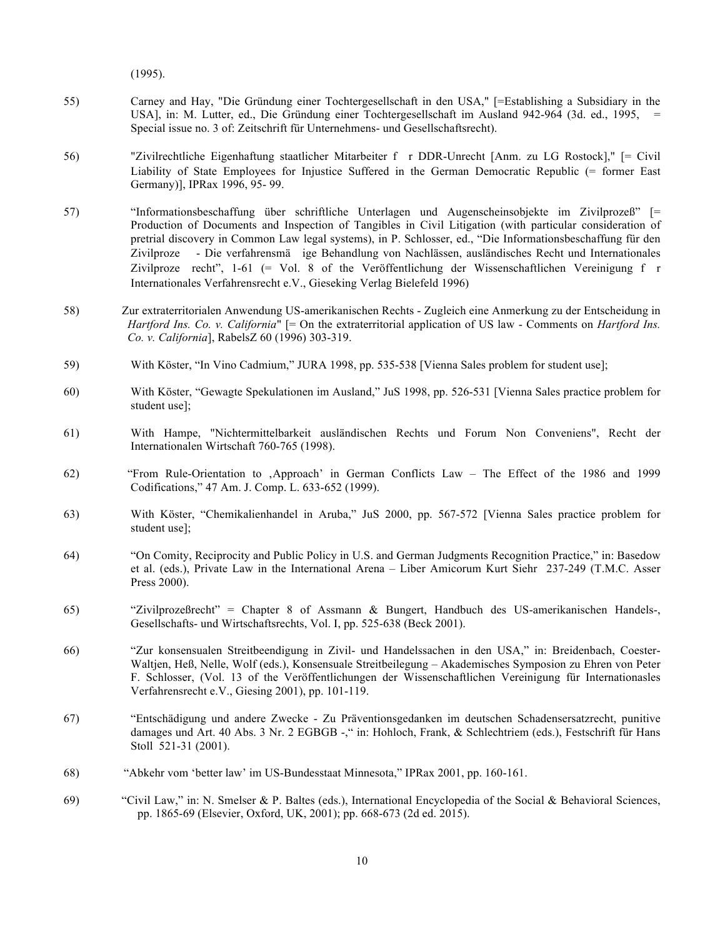(1995).

- 55) Carney and Hay, "Die Gründung einer Tochtergesellschaft in den USA," [=Establishing a Subsidiary in the USA], in: M. Lutter, ed., Die Gründung einer Tochtergesellschaft im Ausland 942-964 (3d. ed., 1995, = Special issue no. 3 of: Zeitschrift für Unternehmens- und Gesellschaftsrecht).
- 56) "Zivilrechtliche Eigenhaftung staatlicher Mitarbeiter fr DDR-Unrecht [Anm. zu LG Rostock]," [= Civil Liability of State Employees for Injustice Suffered in the German Democratic Republic (= former East Germany)], IPRax 1996, 95- 99.
- 57) "Informationsbeschaffung über schriftliche Unterlagen und Augenscheinsobjekte im Zivilprozeß" [= Production of Documents and Inspection of Tangibles in Civil Litigation (with particular consideration of pretrial discovery in Common Law legal systems), in P. Schlosser, ed., "Die Informationsbeschaffung für den Zivilproze - Die verfahrensmä ige Behandlung von Nachlässen, ausländisches Recht und Internationales Zivilproze recht", 1-61 (= Vol. 8 of the Veröffentlichung der Wissenschaftlichen Vereinigung fr Internationales Verfahrensrecht e.V., Gieseking Verlag Bielefeld 1996)
- 58) Zur extraterritorialen Anwendung US-amerikanischen Rechts Zugleich eine Anmerkung zu der Entscheidung in *Hartford Ins. Co. v. California*" [= On the extraterritorial application of US law - Comments on *Hartford Ins. Co. v. California*], RabelsZ 60 (1996) 303-319.
- 59) With Köster, "In Vino Cadmium," JURA 1998, pp. 535-538 [Vienna Sales problem for student use];
- 60) With Köster, "Gewagte Spekulationen im Ausland," JuS 1998, pp. 526-531 [Vienna Sales practice problem for student use];
- 61) With Hampe, "Nichtermittelbarkeit ausländischen Rechts und Forum Non Conveniens", Recht der Internationalen Wirtschaft 760-765 (1998).
- 62) "From Rule-Orientation to 'Approach' in German Conflicts Law The Effect of the 1986 and 1999 Codifications," 47 Am. J. Comp. L. 633-652 (1999).
- 63) With Köster, "Chemikalienhandel in Aruba," JuS 2000, pp. 567-572 [Vienna Sales practice problem for student use];
- 64) "On Comity, Reciprocity and Public Policy in U.S. and German Judgments Recognition Practice," in: Basedow et al. (eds.), Private Law in the International Arena – Liber Amicorum Kurt Siehr 237-249 (T.M.C. Asser Press 2000).
- 65) "Zivilprozeßrecht" = Chapter 8 of Assmann & Bungert, Handbuch des US-amerikanischen Handels-, Gesellschafts- und Wirtschaftsrechts, Vol. I, pp. 525-638 (Beck 2001).
- 66) "Zur konsensualen Streitbeendigung in Zivil- und Handelssachen in den USA," in: Breidenbach, Coester-Waltjen, Heß, Nelle, Wolf (eds.), Konsensuale Streitbeilegung – Akademisches Symposion zu Ehren von Peter F. Schlosser, (Vol. 13 of the Veröffentlichungen der Wissenschaftlichen Vereinigung für Internationasles Verfahrensrecht e.V., Giesing 2001), pp. 101-119.
- 67) "Entschädigung und andere Zwecke Zu Präventionsgedanken im deutschen Schadensersatzrecht, punitive damages und Art. 40 Abs. 3 Nr. 2 EGBGB -, "in: Hohloch, Frank, & Schlechtriem (eds.), Festschrift für Hans Stoll 521-31 (2001).
- 68) "Abkehr vom 'better law' im US-Bundesstaat Minnesota," IPRax 2001, pp. 160-161.
- 69) "Civil Law," in: N. Smelser & P. Baltes (eds.), International Encyclopedia of the Social & Behavioral Sciences, pp. 1865-69 (Elsevier, Oxford, UK, 2001); pp. 668-673 (2d ed. 2015).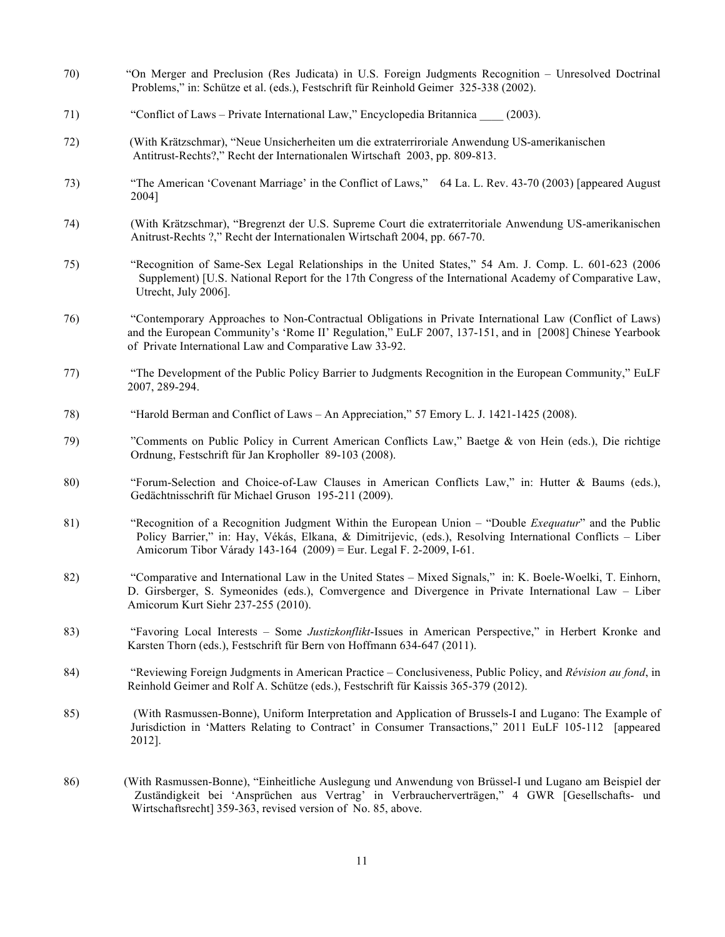- 70) "On Merger and Preclusion (Res Judicata) in U.S. Foreign Judgments Recognition Unresolved Doctrinal Problems," in: Schütze et al. (eds.), Festschrift für Reinhold Geimer 325-338 (2002).
- 71) "Conflict of Laws Private International Law," Encyclopedia Britannica \_\_\_\_ (2003).
- 72) (With Krätzschmar), "Neue Unsicherheiten um die extraterriroriale Anwendung US-amerikanischen Antitrust-Rechts?," Recht der Internationalen Wirtschaft 2003, pp. 809-813.
- 73) "The American 'Covenant Marriage' in the Conflict of Laws," 64 La. L. Rev. 43-70 (2003) [appeared August 2004]
- 74) (With Krätzschmar), "Bregrenzt der U.S. Supreme Court die extraterritoriale Anwendung US-amerikanischen Anitrust-Rechts ?," Recht der Internationalen Wirtschaft 2004, pp. 667-70.
- 75) "Recognition of Same-Sex Legal Relationships in the United States," 54 Am. J. Comp. L. 601-623 (2006 Supplement) [U.S. National Report for the 17th Congress of the International Academy of Comparative Law, Utrecht, July 2006].
- 76) "Contemporary Approaches to Non-Contractual Obligations in Private International Law (Conflict of Laws) and the European Community's 'Rome II' Regulation," EuLF 2007, 137-151, and in [2008] Chinese Yearbook of Private International Law and Comparative Law 33-92.
- 77) "The Development of the Public Policy Barrier to Judgments Recognition in the European Community," EuLF 2007, 289-294.
- 78) "Harold Berman and Conflict of Laws An Appreciation," 57 Emory L. J. 1421-1425 (2008).
- 79) "Comments on Public Policy in Current American Conflicts Law," Baetge & von Hein (eds.), Die richtige Ordnung, Festschrift für Jan Kropholler 89-103 (2008).
- 80) "Forum-Selection and Choice-of-Law Clauses in American Conflicts Law," in: Hutter & Baums (eds.), Gedächtnisschrift für Michael Gruson 195-211 (2009).
- 81) "Recognition of a Recognition Judgment Within the European Union "Double *Exequatur*" and the Public Policy Barrier," in: Hay, Vékás, Elkana, & Dimitrijevic, (eds.), Resolving International Conflicts – Liber Amicorum Tibor Várady 143-164 (2009) = Eur. Legal F. 2-2009, I-61.
- 82) "Comparative and International Law in the United States Mixed Signals," in: K. Boele-Woelki, T. Einhorn, D. Girsberger, S. Symeonides (eds.), Comvergence and Divergence in Private International Law – Liber Amicorum Kurt Siehr 237-255 (2010).
- 83) "Favoring Local Interests Some *Justizkonflikt*-Issues in American Perspective," in Herbert Kronke and Karsten Thorn (eds.), Festschrift für Bern von Hoffmann 634-647 (2011).
- 84) "Reviewing Foreign Judgments in American Practice Conclusiveness, Public Policy, and *Révision au fond*, in Reinhold Geimer and Rolf A. Schütze (eds.), Festschrift für Kaissis 365-379 (2012).
- 85) (With Rasmussen-Bonne), Uniform Interpretation and Application of Brussels-I and Lugano: The Example of Jurisdiction in 'Matters Relating to Contract' in Consumer Transactions," 2011 EuLF 105-112 [appeared 2012].
- 86) (With Rasmussen-Bonne), "Einheitliche Auslegung und Anwendung von Brüssel-I und Lugano am Beispiel der Zuständigkeit bei 'Ansprüchen aus Vertrag' in Verbraucherverträgen," 4 GWR [Gesellschafts- und Wirtschaftsrecht] 359-363, revised version of No. 85, above.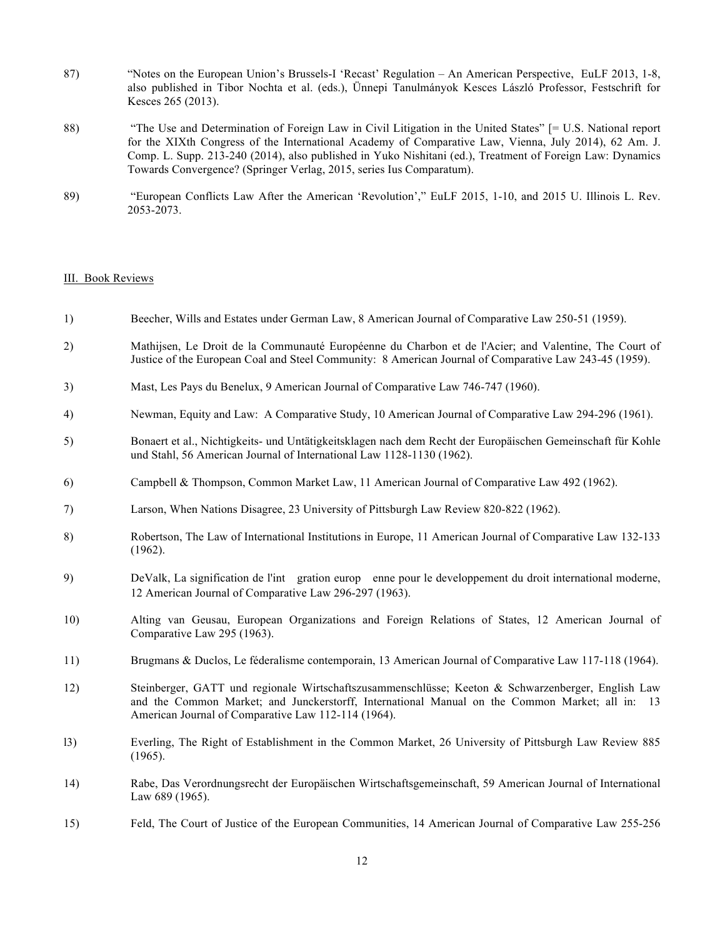- 87) "Notes on the European Union's Brussels-I 'Recast' Regulation An American Perspective, EuLF 2013, 1-8, also published in Tibor Nochta et al. (eds.), Ünnepi Tanulmányok Kesces László Professor, Festschrift for Kesces 265 (2013).
- 88) "The Use and Determination of Foreign Law in Civil Litigation in the United States" [= U.S. National report for the XIXth Congress of the International Academy of Comparative Law, Vienna, July 2014), 62 Am. J. Comp. L. Supp. 213-240 (2014), also published in Yuko Nishitani (ed.), Treatment of Foreign Law: Dynamics Towards Convergence? (Springer Verlag, 2015, series Ius Comparatum).
- 89) "European Conflicts Law After the American 'Revolution'," EuLF 2015, 1-10, and 2015 U. Illinois L. Rev. 2053-2073.

#### III. Book Reviews

- 1) Beecher, Wills and Estates under German Law, 8 American Journal of Comparative Law 250-51 (1959).
- 2) Mathijsen, Le Droit de la Communauté Européenne du Charbon et de l'Acier; and Valentine, The Court of Justice of the European Coal and Steel Community: 8 American Journal of Comparative Law 243-45 (1959).
- 3) Mast, Les Pays du Benelux, 9 American Journal of Comparative Law 746-747 (1960).
- 4) Newman, Equity and Law: A Comparative Study, 10 American Journal of Comparative Law 294-296 (1961).
- 5) Bonaert et al., Nichtigkeits- und Untätigkeitsklagen nach dem Recht der Europäischen Gemeinschaft für Kohle und Stahl, 56 American Journal of International Law 1128-1130 (1962).
- 6) Campbell & Thompson, Common Market Law, 11 American Journal of Comparative Law 492 (1962).
- 7) Larson, When Nations Disagree, 23 University of Pittsburgh Law Review 820-822 (1962).
- 8) Robertson, The Law of International Institutions in Europe, 11 American Journal of Comparative Law 132-133 (1962).
- 9) DeValk, La signification de l'int gration europ enne pour le developpement du droit international moderne, 12 American Journal of Comparative Law 296-297 (1963).
- 10) Alting van Geusau, European Organizations and Foreign Relations of States, 12 American Journal of Comparative Law 295 (1963).
- 11) Brugmans & Duclos, Le féderalisme contemporain, 13 American Journal of Comparative Law 117-118 (1964).
- 12) Steinberger, GATT und regionale Wirtschaftszusammenschlüsse; Keeton & Schwarzenberger, English Law and the Common Market; and Junckerstorff, International Manual on the Common Market; all in: 13 American Journal of Comparative Law 112-114 (1964).
- l3) Everling, The Right of Establishment in the Common Market, 26 University of Pittsburgh Law Review 885 (1965).
- 14) Rabe, Das Verordnungsrecht der Europäischen Wirtschaftsgemeinschaft, 59 American Journal of International Law 689 (1965).
- 15) Feld, The Court of Justice of the European Communities, 14 American Journal of Comparative Law 255-256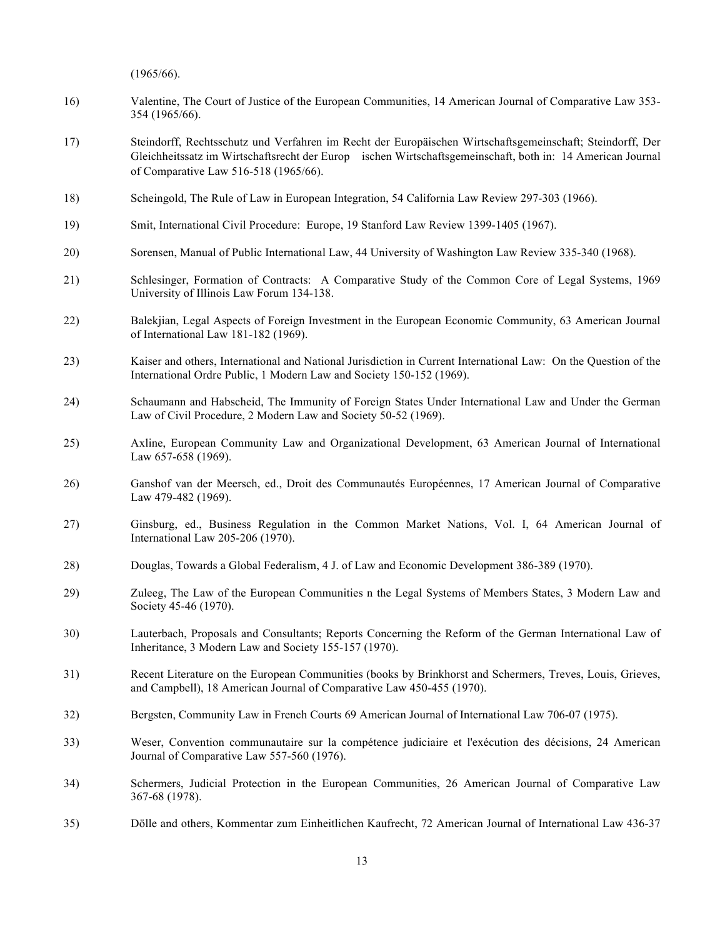(1965/66).

- 16) Valentine, The Court of Justice of the European Communities, 14 American Journal of Comparative Law 353- 354 (1965/66).
- 17) Steindorff, Rechtsschutz und Verfahren im Recht der Europäischen Wirtschaftsgemeinschaft; Steindorff, Der Gleichheitssatz im Wirtschaftsrecht der Europischen Wirtschaftsgemeinschaft, both in: 14 American Journal of Comparative Law 516-518 (1965/66).
- 18) Scheingold, The Rule of Law in European Integration, 54 California Law Review 297-303 (1966).
- 19) Smit, International Civil Procedure: Europe, 19 Stanford Law Review 1399-1405 (1967).
- 20) Sorensen, Manual of Public International Law, 44 University of Washington Law Review 335-340 (1968).
- 21) Schlesinger, Formation of Contracts: A Comparative Study of the Common Core of Legal Systems, 1969 University of Illinois Law Forum 134-138.
- 22) Balekjian, Legal Aspects of Foreign Investment in the European Economic Community, 63 American Journal of International Law 181-182 (1969).
- 23) Kaiser and others, International and National Jurisdiction in Current International Law: On the Question of the International Ordre Public, 1 Modern Law and Society 150-152 (1969).
- 24) Schaumann and Habscheid, The Immunity of Foreign States Under International Law and Under the German Law of Civil Procedure, 2 Modern Law and Society 50-52 (1969).
- 25) Axline, European Community Law and Organizational Development, 63 American Journal of International Law 657-658 (1969).
- 26) Ganshof van der Meersch, ed., Droit des Communautés Européennes, 17 American Journal of Comparative Law 479-482 (1969).
- 27) Ginsburg, ed., Business Regulation in the Common Market Nations, Vol. I, 64 American Journal of International Law 205-206 (1970).
- 28) Douglas, Towards a Global Federalism, 4 J. of Law and Economic Development 386-389 (1970).
- 29) Zuleeg, The Law of the European Communities n the Legal Systems of Members States, 3 Modern Law and Society 45-46 (1970).
- 30) Lauterbach, Proposals and Consultants; Reports Concerning the Reform of the German International Law of Inheritance, 3 Modern Law and Society 155-157 (1970).
- 31) Recent Literature on the European Communities (books by Brinkhorst and Schermers, Treves, Louis, Grieves, and Campbell), 18 American Journal of Comparative Law 450-455 (1970).
- 32) Bergsten, Community Law in French Courts 69 American Journal of International Law 706-07 (1975).
- 33) Weser, Convention communautaire sur la compétence judiciaire et l'exécution des décisions, 24 American Journal of Comparative Law 557-560 (1976).
- 34) Schermers, Judicial Protection in the European Communities, 26 American Journal of Comparative Law 367-68 (1978).
- 35) Dölle and others, Kommentar zum Einheitlichen Kaufrecht, 72 American Journal of International Law 436-37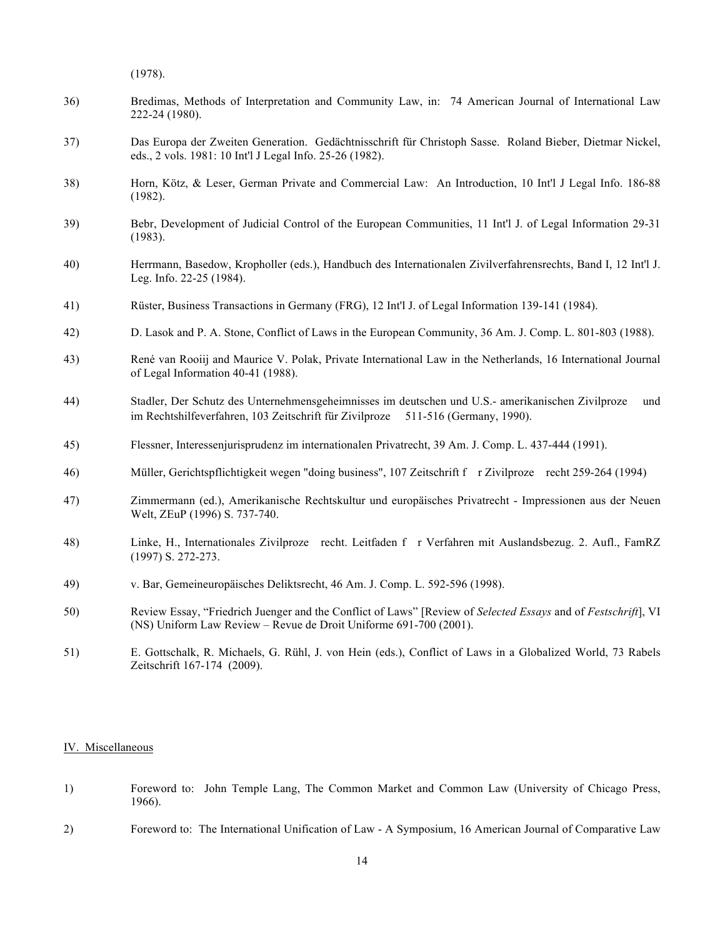(1978).

- 36) Bredimas, Methods of Interpretation and Community Law, in: 74 American Journal of International Law 222-24 (1980).
- 37) Das Europa der Zweiten Generation. Gedächtnisschrift für Christoph Sasse. Roland Bieber, Dietmar Nickel, eds., 2 vols. 1981: 10 Int'l J Legal Info. 25-26 (1982).
- 38) Horn, Kötz, & Leser, German Private and Commercial Law: An Introduction, 10 Int'l J Legal Info. 186-88 (1982).
- 39) Bebr, Development of Judicial Control of the European Communities, 11 Int'l J. of Legal Information 29-31 (1983).
- 40) Herrmann, Basedow, Kropholler (eds.), Handbuch des Internationalen Zivilverfahrensrechts, Band I, 12 Int'l J. Leg. Info. 22-25 (1984).
- 41) Rüster, Business Transactions in Germany (FRG), 12 Int'l J. of Legal Information 139-141 (1984).
- 42) D. Lasok and P. A. Stone, Conflict of Laws in the European Community, 36 Am. J. Comp. L. 801-803 (1988).
- 43) René van Rooiij and Maurice V. Polak, Private International Law in the Netherlands, 16 International Journal of Legal Information 40-41 (1988).
- 44) Stadler, Der Schutz des Unternehmensgeheimnisses im deutschen und U.S.- amerikanischen Zivilproze und im Rechtshilfeverfahren, 103 Zeitschrift für Zivilproze 511-516 (Germany, 1990).
- 45) Flessner, Interessenjurisprudenz im internationalen Privatrecht, 39 Am. J. Comp. L. 437-444 (1991).
- 46) Müller, Gerichtspflichtigkeit wegen "doing business", 107 Zeitschrift f r Zivilproze recht 259-264 (1994)
- 47) Zimmermann (ed.), Amerikanische Rechtskultur und europäisches Privatrecht Impressionen aus der Neuen Welt, ZEuP (1996) S. 737-740.
- 48) Linke, H., Internationales Zivilprozerecht. Leitfaden fr Verfahren mit Auslandsbezug. 2. Aufl., FamRZ (1997) S. 272-273.
- 49) v. Bar, Gemeineuropäisches Deliktsrecht, 46 Am. J. Comp. L. 592-596 (1998).
- 50) Review Essay, "Friedrich Juenger and the Conflict of Laws" [Review of *Selected Essays* and of *Festschrift*], VI (NS) Uniform Law Review – Revue de Droit Uniforme 691-700 (2001).
- 51) E. Gottschalk, R. Michaels, G. Rühl, J. von Hein (eds.), Conflict of Laws in a Globalized World, 73 Rabels Zeitschrift 167-174 (2009).

#### IV. Miscellaneous

- 1) Foreword to: John Temple Lang, The Common Market and Common Law (University of Chicago Press, 1966).
- 2) Foreword to: The International Unification of Law A Symposium, 16 American Journal of Comparative Law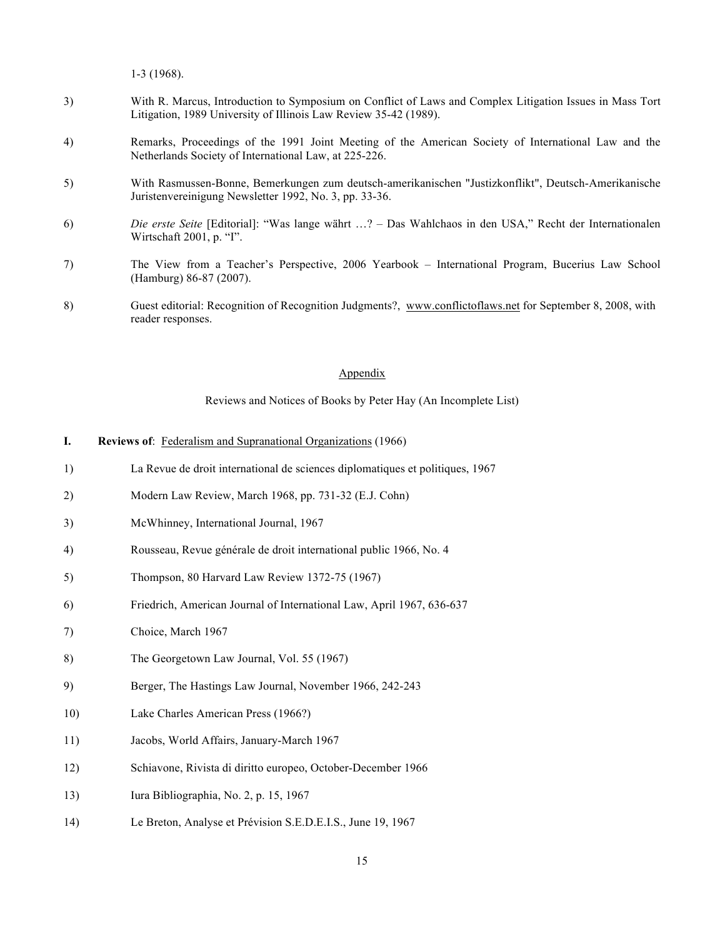1-3 (1968).

- 3) With R. Marcus, Introduction to Symposium on Conflict of Laws and Complex Litigation Issues in Mass Tort Litigation, 1989 University of Illinois Law Review 35-42 (1989).
- 4) Remarks, Proceedings of the 1991 Joint Meeting of the American Society of International Law and the Netherlands Society of International Law, at 225-226.
- 5) With Rasmussen-Bonne, Bemerkungen zum deutsch-amerikanischen "Justizkonflikt", Deutsch-Amerikanische Juristenvereinigung Newsletter 1992, No. 3, pp. 33-36.
- 6) *Die erste Seite* [Editorial]: "Was lange währt …? Das Wahlchaos in den USA," Recht der Internationalen Wirtschaft 2001, p. "I".
- 7) The View from a Teacher's Perspective, 2006 Yearbook International Program, Bucerius Law School (Hamburg) 86-87 (2007).
- 8) Guest editorial: Recognition of Recognition Judgments?, www.conflictoflaws.net for September 8, 2008, with reader responses.

### Appendix

Reviews and Notices of Books by Peter Hay (An Incomplete List)

- **I. Reviews of**: Federalism and Supranational Organizations (1966)
- 1) La Revue de droit international de sciences diplomatiques et politiques, 1967
- 2) Modern Law Review, March 1968, pp. 731-32 (E.J. Cohn)
- 3) McWhinney, International Journal, 1967
- 4) Rousseau, Revue générale de droit international public 1966, No. 4
- 5) Thompson, 80 Harvard Law Review 1372-75 (1967)
- 6) Friedrich, American Journal of International Law, April 1967, 636-637
- 7) Choice, March 1967
- 8) The Georgetown Law Journal, Vol. 55 (1967)
- 9) Berger, The Hastings Law Journal, November 1966, 242-243
- 10) Lake Charles American Press (1966?)
- 11) Jacobs, World Affairs, January-March 1967
- 12) Schiavone, Rivista di diritto europeo, October-December 1966
- 13) Iura Bibliographia, No. 2, p. 15, 1967
- 14) Le Breton, Analyse et Prévision S.E.D.E.I.S., June 19, 1967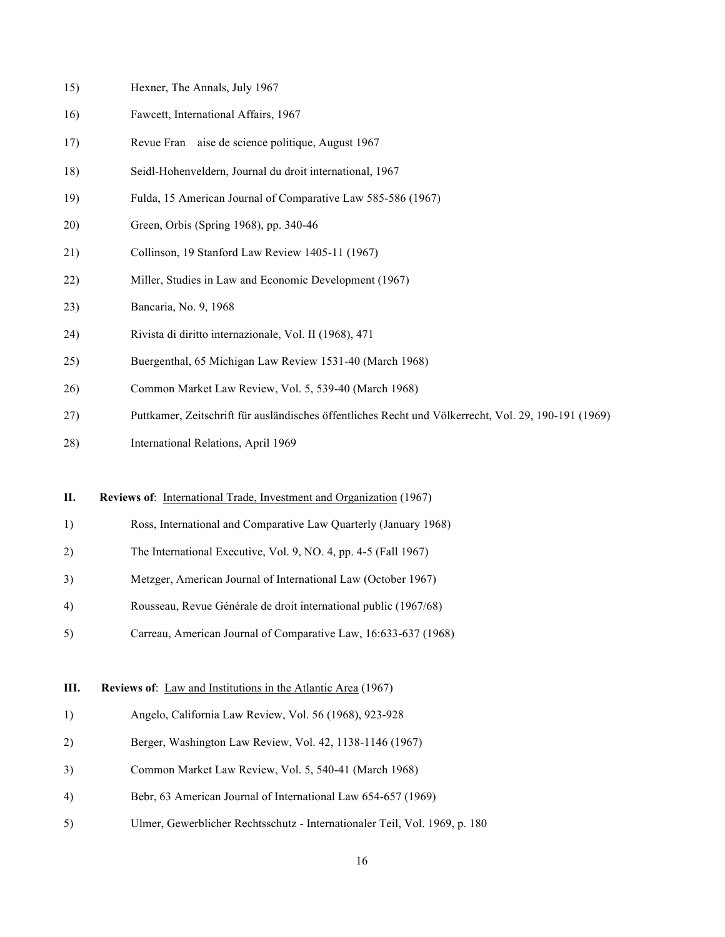| 15) | Hexner, The Annals, July 1967                                                                        |
|-----|------------------------------------------------------------------------------------------------------|
| 16) | Fawcett, International Affairs, 1967                                                                 |
| 17) | Revue Fran aise de science politique, August 1967                                                    |
| 18) | Seidl-Hohenveldern, Journal du droit international, 1967                                             |
| 19) | Fulda, 15 American Journal of Comparative Law 585-586 (1967)                                         |
| 20) | Green, Orbis (Spring 1968), pp. 340-46                                                               |
| 21) | Collinson, 19 Stanford Law Review 1405-11 (1967)                                                     |
| 22) | Miller, Studies in Law and Economic Development (1967)                                               |
| 23) | Bancaria, No. 9, 1968                                                                                |
| 24) | Rivista di diritto internazionale, Vol. II (1968), 471                                               |
| 25) | Buergenthal, 65 Michigan Law Review 1531-40 (March 1968)                                             |
| 26) | Common Market Law Review, Vol. 5, 539-40 (March 1968)                                                |
| 27) | Puttkamer, Zeitschrift für ausländisches öffentliches Recht und Völkerrecht, Vol. 29, 190-191 (1969) |
| 28) | International Relations, April 1969                                                                  |
|     |                                                                                                      |
| П.  | Reviews of: International Trade, Investment and Organization (1967)                                  |
| 1)  | Ross, International and Comparative Law Quarterly (January 1968)                                     |
| 2)  | The International Executive, Vol. 9, NO. 4, pp. 4-5 (Fall 1967)                                      |
| 3)  | Metzger, American Journal of International Law (October 1967)                                        |
| 4)  | Rousseau, Revue Générale de droit international public (1967/68)                                     |
| 5)  | Carreau, American Journal of Comparative Law, 16:633-637 (1968)                                      |
| Ш.  | Reviews of: Law and Institutions in the Atlantic Area (1967)                                         |
| 1)  | Angelo, California Law Review, Vol. 56 (1968), 923-928                                               |
| 2)  | Berger, Washington Law Review, Vol. 42, 1138-1146 (1967)                                             |
| 3)  | Common Market Law Review, Vol. 5, 540-41 (March 1968)                                                |
| 4)  | Bebr, 63 American Journal of International Law 654-657 (1969)                                        |
| 5)  | Ulmer, Gewerblicher Rechtsschutz - Internationaler Teil, Vol. 1969, p. 180                           |
|     |                                                                                                      |
|     |                                                                                                      |